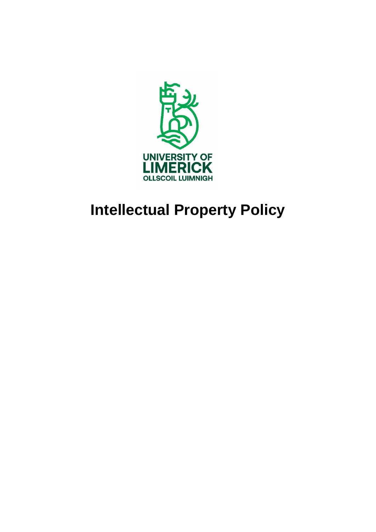

# **Intellectual Property Policy**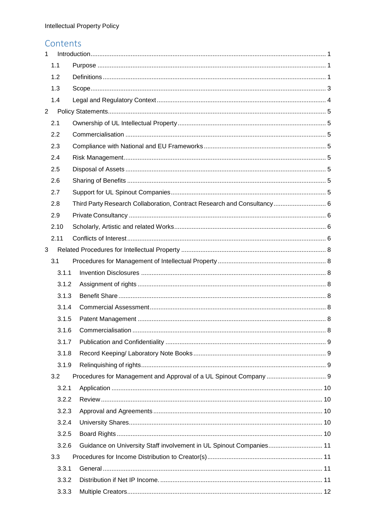### Contents

| $\mathbf{1}$   |       |                                                                         |  |  |
|----------------|-------|-------------------------------------------------------------------------|--|--|
|                | 1.1   |                                                                         |  |  |
|                | 1.2   |                                                                         |  |  |
|                | 1.3   |                                                                         |  |  |
|                | 1.4   |                                                                         |  |  |
| $\overline{2}$ |       |                                                                         |  |  |
|                | 2.1   |                                                                         |  |  |
|                | 2.2   |                                                                         |  |  |
|                | 2.3   |                                                                         |  |  |
|                | 2.4   |                                                                         |  |  |
| 2.5            |       |                                                                         |  |  |
| 2.6            |       |                                                                         |  |  |
|                | 2.7   |                                                                         |  |  |
|                | 2.8   | Third Party Research Collaboration, Contract Research and Consultancy 6 |  |  |
|                | 2.9   |                                                                         |  |  |
|                | 2.10  |                                                                         |  |  |
|                | 2.11  |                                                                         |  |  |
| 3              |       |                                                                         |  |  |
|                | 3.1   |                                                                         |  |  |
|                | 3.1.1 |                                                                         |  |  |
|                | 3.1.2 |                                                                         |  |  |
|                | 3.1.3 |                                                                         |  |  |
|                | 3.1.4 |                                                                         |  |  |
|                | 3.1.5 |                                                                         |  |  |
|                | 3.1.6 |                                                                         |  |  |
|                | 3.1.7 |                                                                         |  |  |
|                | 3.1.8 |                                                                         |  |  |
|                | 3.1.9 |                                                                         |  |  |
|                | 3.2   |                                                                         |  |  |
|                | 3.2.1 |                                                                         |  |  |
|                | 3.2.2 |                                                                         |  |  |
|                | 3.2.3 |                                                                         |  |  |
|                | 3.2.4 |                                                                         |  |  |
|                | 3.2.5 |                                                                         |  |  |
|                | 3.2.6 | Guidance on University Staff involvement in UL Spinout Companies 11     |  |  |
|                | 3.3   |                                                                         |  |  |
|                | 3.3.1 |                                                                         |  |  |
|                | 3.3.2 |                                                                         |  |  |
|                | 3.3.3 |                                                                         |  |  |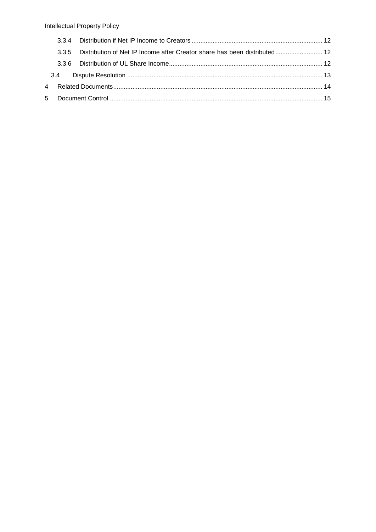|  | 3.3.5 Distribution of Net IP Income after Creator share has been distributed 12 |  |
|--|---------------------------------------------------------------------------------|--|
|  |                                                                                 |  |
|  |                                                                                 |  |
|  |                                                                                 |  |
|  |                                                                                 |  |
|  |                                                                                 |  |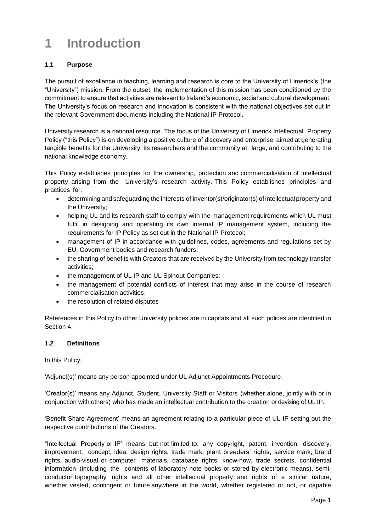### <span id="page-3-0"></span>**1 Introduction**

#### <span id="page-3-1"></span>**1.1 Purpose**

The pursuit of excellence in teaching, learning and research is core to the University of Limerick's (the "University") mission. From the outset, the implementation of this mission has been conditioned by the commitment to ensure that activities are relevant to Ireland's economic, social and cultural development. The University's focus on research and innovation is consistent with the national objectives set out in the relevant Government documents including the National IP Protocol.

University research is a national resource. The focus of the University of Limerick Intellectual Property Policy ("this Policy") is on developing a positive culture of discovery and enterprise aimed at generating tangible benefits for the University, its researchers and the community at large, and contributing to the national knowledge economy.

This Policy establishes principles for the ownership, protection and commercialisation of intellectual property arising from the University's research activity. This Policy establishes principles and practices for:

- determining and safeguarding the interests of inventor(s)/originator(s) of intellectual property and the University;
- helping UL and its research staff to comply with the management requirements which UL must fulfil in designing and operating its own internal IP management system, including the requirements for IP Policy as set out in the National IP Protocol;
- management of IP in accordance with guidelines, codes, agreements and regulations set by EU, Government bodies and research funders;
- the sharing of benefits with Creators that are received by the University from technology transfer activities;
- the management of UL IP and UL Spinout Companies;
- the management of potential conflicts of interest that may arise in the course of research commercialisation activities;
- the resolution of related disputes

References in this Policy to other University polices are in capitals and all such polices are identified in Section 4.

#### <span id="page-3-2"></span>**1.2 Definitions**

In this Policy:

'Adjunct(s)' means any person appointed under UL Adjunct Appointments Procedure.

'Creator(s)' means any Adjunct, Student, University Staff or Visitors (whether alone, jointly with or in conjunction with others) who has made an intellectual contribution to the creation or devising of UL IP.

'Benefit Share Agreement' means an agreement relating to a particular piece of UL IP setting out the respective contributions of the Creators.

"Intellectual Property or IP' means, but not limited to, any copyright, patent, invention, discovery, improvement, concept, idea, design rights, trade mark, plant breeders' rights, service mark, brand rights, audio-visual or computer materials, database rights, know-how, trade secrets, confidential information (including the contents of laboratory note books or stored by electronic means), semiconductor topography rights and all other intellectual property and rights of a similar nature, whether vested, contingent or future anywhere in the world, whether registered or not, or capable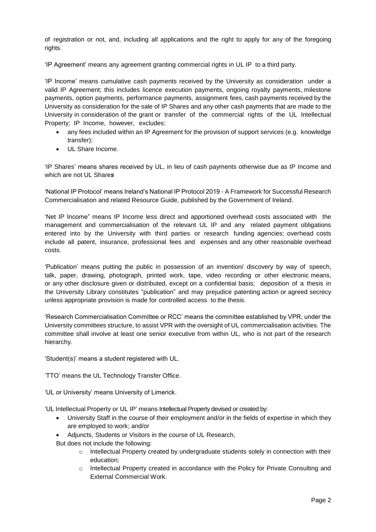of registration or not, and, including all applications and the right to apply for any of the foregoing rights.

'IP Agreement' means any agreement granting commercial rights in UL IP to a third party.

'IP Income' means cumulative cash payments received by the University as consideration under a valid IP Agreement; this includes licence execution payments, ongoing royalty payments, milestone payments, option payments, performance payments, assignment fees, cash payments received by the University as consideration for the sale of IP Shares and any other cash payments that are made to the University in consideration of the grant or transfer of the commercial rights of the UL Intellectual Property; IP Income, however, excludes:

- any fees included within an IP Agreement for the provision of support services (e.g. knowledge transfer);
- UL Share Income.

'IP Shares' means shares received by UL, in lieu of cash payments otherwise due as IP Income and which are not UL Share*s*

'National IP Protocol' means Ireland's National IP Protocol 2019 - A Framework for Successful Research Commercialisation and related Resource Guide, published by the Government of Ireland.

'Net IP Income" means IP Income less direct and apportioned overhead costs associated with the management and commercialisation of the relevant UL IP and any related payment obligations entered into by the University with third parties or research funding agencies; overhead costs include all patent, insurance, professional fees and expenses and any other reasonable overhead costs.

'Publication' means putting the public in possession of an invention/ discovery by way of speech, talk, paper, drawing, photograph, printed work, tape, video recording or other electronic means, or any other disclosure given or distributed, except on a confidential basis; deposition of a thesis in the University Library constitutes "publication" and may prejudice patenting action or agreed secrecy unless appropriate provision is made for controlled access to the thesis.

'Research Commercialisation Committee or RCC' means the committee established by VPR, under the University committees structure, to assist VPR with the oversight of UL commercialisation activities. The committee shall involve at least one senior executive from within UL, who is not part of the research hierarchy.

'Student(s)' means a student registered with UL.

'TTO' means the UL Technology Transfer Office.

'UL or University' means University of Limerick.

'UL Intellectual Property or UL IP' means Intellectual Property devised or created by:

- University Staff in the course of their employment and/or in the fields of expertise in which they are employed to work; and/or
- Adjuncts, Students or Visitors in the course of UL Research,

But does not include the following:

- o Intellectual Property created by undergraduate students solely in connection with their education;
- o Intellectual Property created in accordance with the Policy for Private Consulting and External Commercial Work.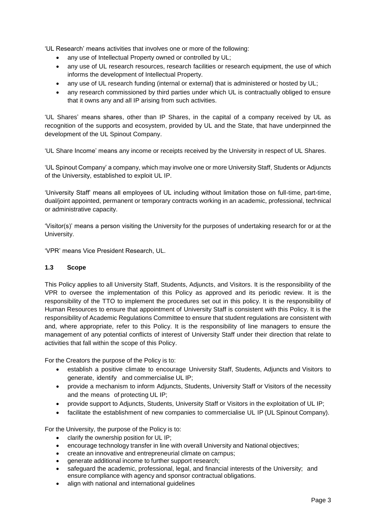'UL Research' means activities that involves one or more of the following:

- any use of Intellectual Property owned or controlled by UL;
- any use of UL research resources, research facilities or research equipment, the use of which informs the development of Intellectual Property.
- any use of UL research funding (internal or external) that is administered or hosted by UL;
- any research commissioned by third parties under which UL is contractually obliged to ensure that it owns any and all IP arising from such activities.

'UL Shares' means shares, other than IP Shares, in the capital of a company received by UL as recognition of the supports and ecosystem, provided by UL and the State, that have underpinned the development of the UL Spinout Company.

'UL Share Income' means any income or receipts received by the University in respect of UL Shares.

'UL Spinout Company' a company, which may involve one or more University Staff, Students or Adjuncts of the University, established to exploit UL IP.

'University Staff' means all employees of UL including without limitation those on full-time, part-time, dual/joint appointed, permanent or temporary contracts working in an academic, professional, technical or administrative capacity.

'Visitor(s)' means a person visiting the University for the purposes of undertaking research for or at the University.

'VPR' means Vice President Research, UL.

#### <span id="page-5-0"></span>**1.3 Scope**

This Policy applies to all University Staff, Students, Adjuncts, and Visitors. It is the responsibility of the VPR to oversee the implementation of this Policy as approved and its periodic review. It is the responsibility of the TTO to implement the procedures set out in this policy. It is the responsibility of Human Resources to ensure that appointment of University Staff is consistent with this Policy. It is the responsibility of Academic Regulations Committee to ensure that student regulations are consistent with and, where appropriate, refer to this Policy. It is the responsibility of line managers to ensure the management of any potential conflicts of interest of University Staff under their direction that relate to activities that fall within the scope of this Policy.

For the Creators the purpose of the Policy is to:

- establish a positive climate to encourage University Staff, Students, Adjuncts and Visitors to generate, identify and commercialise UL IP;
- provide a mechanism to inform Adjuncts, Students, University Staff or Visitors of the necessity and the means of protecting UL IP;
- provide support to Adjuncts, Students, University Staff or Visitors in the exploitation of UL IP;
- facilitate the establishment of new companies to commercialise UL IP (UL Spinout Company).

For the University, the purpose of the Policy is to:

- clarify the ownership position for UL IP;
- encourage technology transfer in line with overall University and National objectives;
- create an innovative and entrepreneurial climate on campus;
- generate additional income to further support research;
- safeguard the academic, professional, legal, and financial interests of the University; and ensure compliance with agency and sponsor contractual obligations.
- align with national and international guidelines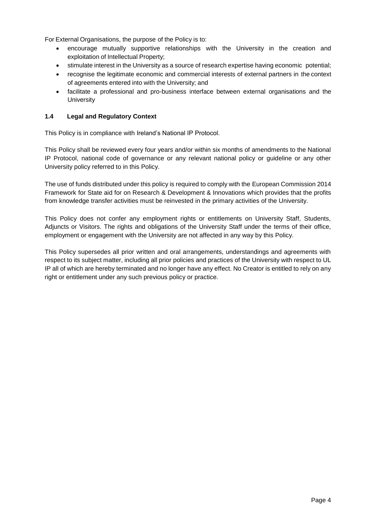For External Organisations, the purpose of the Policy is to:

- encourage mutually supportive relationships with the University in the creation and exploitation of Intellectual Property;
- stimulate interest in the University as a source of research expertise having economic potential;
- recognise the legitimate economic and commercial interests of external partners in the context of agreements entered into with the University; and
- facilitate a professional and pro-business interface between external organisations and the **University**

#### <span id="page-6-0"></span>**1.4 Legal and Regulatory Context**

This Policy is in compliance with Ireland's National IP Protocol.

This Policy shall be reviewed every four years and/or within six months of amendments to the National IP Protocol, national code of governance or any relevant national policy or guideline or any other University policy referred to in this Policy.

The use of funds distributed under this policy is required to comply with the European Commission 2014 Framework for State aid for on Research & Development & Innovations which provides that the profits from knowledge transfer activities must be reinvested in the primary activities of the University.

This Policy does not confer any employment rights or entitlements on University Staff, Students, Adjuncts or Visitors. The rights and obligations of the University Staff under the terms of their office, employment or engagement with the University are not affected in any way by this Policy.

This Policy supersedes all prior written and oral arrangements, understandings and agreements with respect to its subject matter, including all prior policies and practices of the University with respect to UL IP all of which are hereby terminated and no longer have any effect. No Creator is entitled to rely on any right or entitlement under any such previous policy or practice.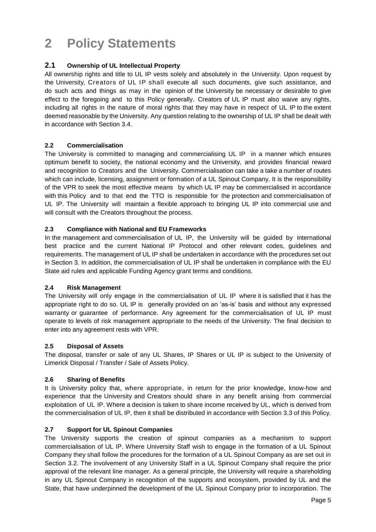## <span id="page-7-0"></span>**2 Policy Statements**

#### <span id="page-7-1"></span>**2.1 Ownership of UL Intellectual Property**

All ownership rights and title to UL IP vests solely and absolutely in the University. Upon request by the University, Creators of UL IP shall execute all such documents, give such assistance, and do such acts and things as may in the opinion of the University be necessary or desirable to give effect to the foregoing and to this Policy generally. Creators of UL IP must also waive any rights, including all rights in the nature of moral rights that they may have in respect of UL IP to the extent deemed reasonable by the University. Any question relating to the ownership of UL IP shall be dealt with in accordance with Section 3.4.

#### <span id="page-7-2"></span>**2.2 Commercialisation**

The University is committed to managing and commercialising UL IP in a manner which ensures optimum benefit to society, the national economy and the University, and provides financial reward and recognition to Creators and the University. Commercialisation can take a take a number of routes which can include, licensing, assignment or formation of a UL Spinout Company. It is the responsibility of the VPR to seek the most effective means by which UL IP may be commercialised in accordance with this Policy and to that end the TTO is responsible for the protection and commercialisation of UL IP. The University will maintain a flexible approach to bringing UL IP into commercial use and will consult with the Creators throughout the process.

#### <span id="page-7-3"></span>**2.3 Compliance with National and EU Frameworks**

In the management and commercialisation of UL IP, the University will be guided by international best practice and the current National IP Protocol and other relevant codes, guidelines and requirements. The management of UL IP shall be undertaken in accordance with the procedures set out in Section 3. In addition, the commercialisation of UL IP shall be undertaken in compliance with the EU State aid rules and applicable Funding Agency grant terms and conditions.

#### <span id="page-7-4"></span>**2.4 Risk Management**

The University will only engage in the commercialisation of UL IP where it is satisfied that it has the appropriate right to do so. UL IP is generally provided on an 'as-is' basis and without any expressed warranty or guarantee of performance. Any agreement for the commercialisation of UL IP must operate to levels of risk management appropriate to the needs of the University. The final decision to enter into any agreement rests with VPR.

#### <span id="page-7-5"></span>**2.5 Disposal of Assets**

The disposal, transfer or sale of any UL Shares, IP Shares or UL IP is subject to the University of Limerick Disposal / Transfer / Sale of Assets Policy.

#### <span id="page-7-6"></span>**2.6 Sharing of Benefits**

It is University policy that, where appropriate, in return for the prior knowledge, know-how and experience that the University and Creators should share in any benefit arising from commercial exploitation of UL IP. Where a decision is taken to share income received by UL, which is derived from the commercialisation of UL IP, then it shall be distributed in accordance with Section 3.3 of this Policy.

#### <span id="page-7-7"></span>**2.7 Support for UL Spinout Companies**

The University supports the creation of spinout companies as a mechanism to support commercialisation of UL IP. Where University Staff wish to engage in the formation of a UL Spinout Company they shall follow the procedures for the formation of a UL Spinout Company as are set out in Section 3.2. The involvement of any University Staff in a UL Spinout Company shall require the prior approval of the relevant line manager. As a general principle, the University will require a shareholding in any UL Spinout Company in recognition of the supports and ecosystem, provided by UL and the State, that have underpinned the development of the UL Spinout Company prior to incorporation. The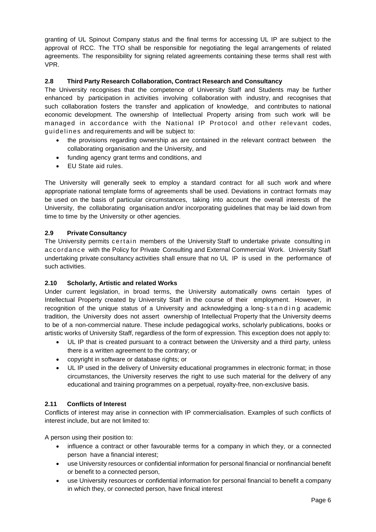granting of UL Spinout Company status and the final terms for accessing UL IP are subject to the approval of RCC. The TTO shall be responsible for negotiating the legal arrangements of related agreements. The responsibility for signing related agreements containing these terms shall rest with VPR.

#### <span id="page-8-0"></span>**2.8 Third Party Research Collaboration, Contract Research and Consultancy**

The University recognises that the competence of University Staff and Students may be further enhanced by participation in activities involving collaboration with industry, and recognises that such collaboration fosters the transfer and application of knowledge, and contributes to national economic development. The ownership of Intellectual Property arising from such work will be managed in accordance with the National IP Protocol and other relevant codes, guidelines and requirements and will be subject to:

- the provisions regarding ownership as are contained in the relevant contract between the collaborating organisation and the University, and
- funding agency grant terms and conditions, and
- EU State aid rules.

The University will generally seek to employ a standard contract for all such work and where appropriate national template forms of agreements shall be used. Deviations in contract formats may be used on the basis of particular circumstances, taking into account the overall interests of the University, the collaborating organisation and/or incorporating guidelines that may be laid down from time to time by the University or other agencies.

#### <span id="page-8-1"></span>**2.9 Private Consultancy**

The University permits certain members of the University Staff to undertake private consulting in accordance with the Policy for Private Consulting and External Commercial Work. University Staff undertaking private consultancy activities shall ensure that no UL IP is used in the performance of such activities.

#### <span id="page-8-2"></span>**2.10 Scholarly, Artistic and related Works**

Under current legislation, in broad terms, the University automatically owns certain types of Intellectual Property created by University Staff in the course of their employment. However, in recognition of the unique status of a University and acknowledging a long-standing academic tradition, the University does not assert ownership of Intellectual Property that the University deems to be of a non-commercial nature. These include pedagogical works, scholarly publications, books or artistic works of University Staff, regardless of the form of expression. This exception does not apply to:

- UL IP that is created pursuant to a contract between the University and a third party, unless there is a written agreement to the contrary; or
- copyright in software or database rights; or
- UL IP used in the delivery of University educational programmes in electronic format; in those circumstances, the University reserves the right to use such material for the delivery of any educational and training programmes on a perpetual, royalty-free, non-exclusive basis.

#### <span id="page-8-3"></span>**2.11 Conflicts of Interest**

Conflicts of interest may arise in connection with IP commercialisation. Examples of such conflicts of interest include, but are not limited to:

A person using their position to:

- influence a contract or other favourable terms for a company in which they, or a connected person have a financial interest;
- use University resources or confidential information for personal financial or nonfinancial benefit or benefit to a connected person,
- use University resources or confidential information for personal financial to benefit a company in which they, or connected person, have finical interest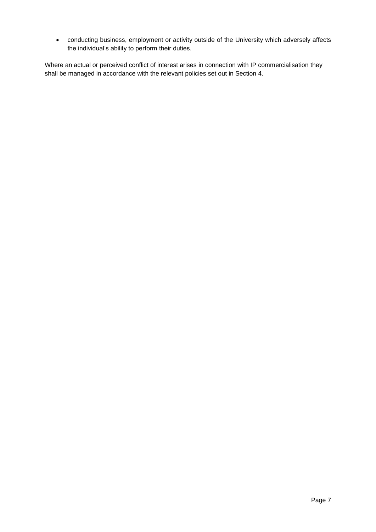conducting business, employment or activity outside of the University which adversely affects the individual's ability to perform their duties.

Where an actual or perceived conflict of interest arises in connection with IP commercialisation they shall be managed in accordance with the relevant policies set out in Section 4.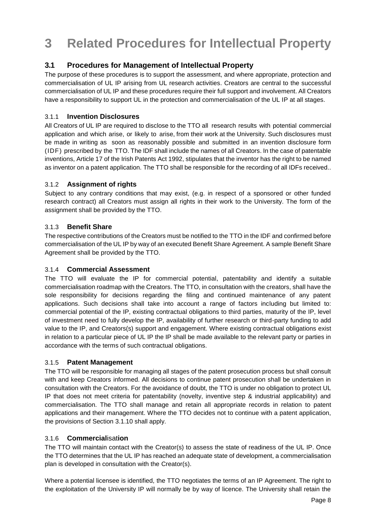### <span id="page-10-0"></span>**3 Related Procedures for Intellectual Property**

#### <span id="page-10-1"></span>**3.1 Procedures for Management of Intellectual Property**

The purpose of these procedures is to support the assessment, and where appropriate, protection and commercialisation of UL IP arising from UL research activities. Creators are central to the successful commercialisation of UL IP and these procedures require their full support and involvement. All Creators have a responsibility to support UL in the protection and commercialisation of the UL IP at all stages.

#### <span id="page-10-2"></span>3.1.1 **Invention Disclosures**

All Creators of UL IP are required to disclose to the TTO all research results with potential commercial application and which arise, or likely to arise, from their work at the University. Such disclosures must be made in writing as soon as reasonably possible and submitted in an invention disclosure form (IDF) prescribed by the TTO. The IDF shall include the names of all Creators. In the case of patentable inventions, Article 17 of the Irish Patents Act 1992, stipulates that the inventor has the right to be named as inventor on a patent application. The TTO shall be responsible for the recording of all IDFs received..

#### <span id="page-10-3"></span>3.1.2 **Assignment of rights**

Subject to any contrary conditions that may exist, (e.g. in respect of a sponsored or other funded research contract) all Creators must assign all rights in their work to the University. The form of the assignment shall be provided by the TTO.

#### <span id="page-10-4"></span>3.1.3 **Benefit Share**

The respective contributions of the Creators must be notified to the TTO in the IDF and confirmed before commercialisation of the UL IP by way of an executed Benefit Share Agreement. A sample Benefit Share Agreement shall be provided by the TTO.

#### <span id="page-10-5"></span>3.1.4 **Commercial Assessment**

The TTO will evaluate the IP for commercial potential, patentability and identify a suitable commercialisation roadmap with the Creators. The TTO, in consultation with the creators, shall have the sole responsibility for decisions regarding the filing and continued maintenance of any patent applications. Such decisions shall take into account a range of factors including but limited to: commercial potential of the IP, existing contractual obligations to third parties, maturity of the IP, level of investment need to fully develop the IP, availability of further research or third-party funding to add value to the IP, and Creators(s) support and engagement. Where existing contractual obligations exist in relation to a particular piece of UL IP the IP shall be made available to the relevant party or parties in accordance with the terms of such contractual obligations.

#### <span id="page-10-6"></span>3.1.5 **Patent Management**

The TTO will be responsible for managing all stages of the patent prosecution process but shall consult with and keep Creators informed. All decisions to continue patent prosecution shall be undertaken in consultation with the Creators. For the avoidance of doubt, the TTO is under no obligation to protect UL IP that does not meet criteria for patentability (novelty, inventive step & industrial applicability) and commercialisation. The TTO shall manage and retain all appropriate records in relation to patent applications and their management. Where the TTO decides not to continue with a patent application, the provisions of Section 3.1.10 shall apply.

#### <span id="page-10-7"></span>3.1.6 **Commercial**isat**ion**

The TTO will maintain contact with the Creator(s) to assess the state of readiness of the UL IP. Once the TTO determines that the UL IP has reached an adequate state of development, a commercialisation plan is developed in consultation with the Creator(s).

Where a potential licensee is identified, the TTO negotiates the terms of an IP Agreement. The right to the exploitation of the University IP will normally be by way of licence. The University shall retain the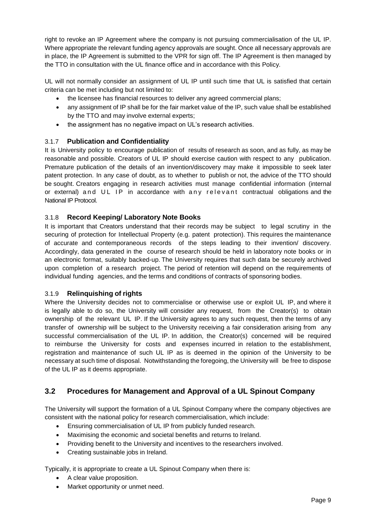right to revoke an IP Agreement where the company is not pursuing commercialisation of the UL IP. Where appropriate the relevant funding agency approvals are sought. Once all necessary approvals are in place, the IP Agreement is submitted to the VPR for sign off. The IP Agreement is then managed by the TTO in consultation with the UL finance office and in accordance with this Policy.

UL will not normally consider an assignment of UL IP until such time that UL is satisfied that certain criteria can be met including but not limited to:

- the licensee has financial resources to deliver any agreed commercial plans;
- any assignment of IP shall be for the fair market value of the IP, such value shall be established by the TTO and may involve external experts;
- the assignment has no negative impact on UL's research activities.

#### <span id="page-11-0"></span>3.1.7 **Publication and Confidentiality**

It is University policy to encourage publication of results of research as soon, and as fully, as may be reasonable and possible. Creators of UL IP should exercise caution with respect to any publication. Premature publication of the details of an invention/discovery may make it impossible to seek later patent protection. In any case of doubt, as to whether to publish or not, the advice of the TTO should be sought. Creators engaging in research activities must manage confidential information (internal or external) and UL IP in accordance with any relevant contractual obligations and the National IP Protocol.

#### <span id="page-11-1"></span>3.1.8 **Record Keeping/ Laboratory Note Books**

It is important that Creators understand that their records may be subject to legal scrutiny in the securing of protection for Intellectual Property (e.g. patent protection). This requires the maintenance of accurate and contemporaneous records of the steps leading to their invention/ discovery. Accordingly, data generated in the course of research should be held in laboratory note books or in an electronic format, suitably backed-up. The University requires that such data be securely archived upon completion of a research project. The period of retention will depend on the requirements of individual funding agencies, and the terms and conditions of contracts of sponsoring bodies.

#### <span id="page-11-2"></span>3.1.9 **Relinquishing of rights**

Where the University decides not to commercialise or otherwise use or exploit UL IP, and where it is legally able to do so, the University will consider any request, from the Creator(s) to obtain ownership of the relevant UL IP. If the University agrees to any such request, then the terms of any transfer of ownership will be subject to the University receiving a fair consideration arising from any successful commercialisation of the UL IP. In addition, the Creator(s) concerned will be required to reimburse the University for costs and expenses incurred in relation to the establishment, registration and maintenance of such UL IP as is deemed in the opinion of the University to be necessary at such time of disposal. Notwithstanding the foregoing, the University will be free to dispose of the UL IP as it deems appropriate.

#### <span id="page-11-3"></span>**3.2 Procedures for Management and Approval of a UL Spinout Company**

The University will support the formation of a UL Spinout Company where the company objectives are consistent with the national policy for research commercialisation, which include:

- Ensuring commercialisation of UL IP from publicly funded research.
- Maximising the economic and societal benefits and returns to Ireland.
- Providing benefit to the University and incentives to the researchers involved.
- Creating sustainable jobs in Ireland.

Typically, it is appropriate to create a UL Spinout Company when there is:

- A clear value proposition.
- Market opportunity or unmet need.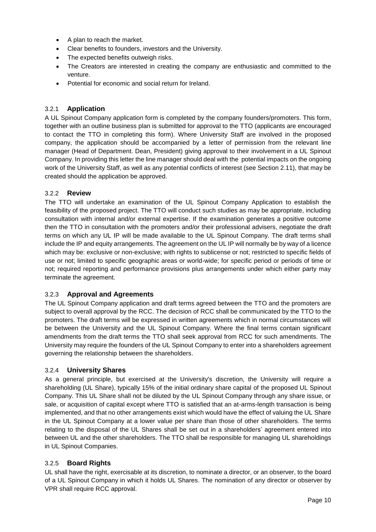- A plan to reach the market.
- Clear benefits to founders, investors and the University.
- The expected benefits outweigh risks.
- The Creators are interested in creating the company are enthusiastic and committed to the venture.
- Potential for economic and social return for Ireland.

#### <span id="page-12-0"></span>3.2.1 **Application**

A UL Spinout Company application form is completed by the company founders/promoters. This form, together with an outline business plan is submitted for approval to the TTO (applicants are encouraged to contact the TTO in completing this form). Where University Staff are involved in the proposed company, the application should be accompanied by a letter of permission from the relevant line manager (Head of Department. Dean, President) giving approval to their involvement in a UL Spinout Company. In providing this letter the line manager should deal with the potential impacts on the ongoing work of the University Staff, as well as any potential conflicts of interest (see Section [2.11\)](#page-8-3), that may be created should the application be approved.

#### <span id="page-12-1"></span>3.2.2 **Review**

The TTO will undertake an examination of the UL Spinout Company Application to establish the feasibility of the proposed project. The TTO will conduct such studies as may be appropriate, including consultation with internal and/or external expertise. If the examination generates a positive outcome then the TTO in consultation with the promoters and/or their professional advisers, negotiate the draft terms on which any UL IP will be made available to the UL Spinout Company. The draft terms shall include the IP and equity arrangements. The agreement on the UL IP will normally be by way of a licence which may be: exclusive or non-exclusive; with rights to sublicense or not; restricted to specific fields of use or not; limited to specific geographic areas or world-wide; for specific period or periods of time or not; required reporting and performance provisions plus arrangements under which either party may terminate the agreement.

#### <span id="page-12-2"></span>3.2.3 **Approval and Agreements**

The UL Spinout Company application and draft terms agreed between the TTO and the promoters are subject to overall approval by the RCC. The decision of RCC shall be communicated by the TTO to the promoters. The draft terms will be expressed in written agreements which in normal circumstances will be between the University and the UL Spinout Company. Where the final terms contain significant amendments from the draft terms the TTO shall seek approval from RCC for such amendments. The University may require the founders of the UL Spinout Company to enter into a shareholders agreement governing the relationship between the shareholders.

#### <span id="page-12-3"></span>3.2.4 **University Shares**

As a general principle, but exercised at the University's discretion, the University will require a shareholding (UL Share), typically 15% of the initial ordinary share capital of the proposed UL Spinout Company. This UL Share shall not be diluted by the UL Spinout Company through any share issue, or sale, or acquisition of capital except where TTO is satisfied that an at-arms-length transaction is being implemented, and that no other arrangements exist which would have the effect of valuing the UL Share in the UL Spinout Company at a lower value per share than those of other shareholders. The terms relating to the disposal of the UL Shares shall be set out in a shareholders' agreement entered into between UL and the other shareholders. The TTO shall be responsible for managing UL shareholdings in UL Spinout Companies.

#### <span id="page-12-4"></span>3.2.5 **Board Rights**

UL shall have the right, exercisable at its discretion, to nominate a director, or an observer, to the board of a UL Spinout Company in which it holds UL Shares. The nomination of any director or observer by VPR shall require RCC approval.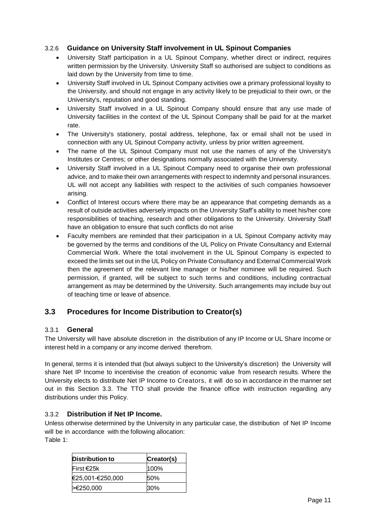#### <span id="page-13-0"></span>3.2.6 **Guidance on University Staff involvement in UL Spinout Companies**

- University Staff participation in a UL Spinout Company, whether direct or indirect, requires written permission by the University. University Staff so authorised are subject to conditions as laid down by the University from time to time.
- University Staff involved in UL Spinout Company activities owe a primary professional loyalty to the University, and should not engage in any activity likely to be prejudicial to their own, or the University's, reputation and good standing.
- University Staff involved in a UL Spinout Company should ensure that any use made of University facilities in the context of the UL Spinout Company shall be paid for at the market rate.
- The University's stationery, postal address, telephone, fax or email shall not be used in connection with any UL Spinout Company activity, unless by prior written agreement.
- The name of the UL Spinout Company must not use the names of any of the University's Institutes or Centres; or other designations normally associated with the University.
- University Staff involved in a UL Spinout Company need to organise their own professional advice, and to make their own arrangements with respect to indemnity and personal insurances. UL will not accept any liabilities with respect to the activities of such companies howsoever arising.
- Conflict of Interest occurs where there may be an appearance that competing demands as a result of outside activities adversely impacts on the University Staff's ability to meet his/her core responsibilities of teaching, research and other obligations to the University. University Staff have an obligation to ensure that such conflicts do not arise
- Faculty members are reminded that their participation in a UL Spinout Company activity may be governed by the terms and conditions of the UL Policy on Private Consultancy and External Commercial Work. Where the total involvement in the UL Spinout Company is expected to exceed the limits set out in the UL Policy on Private Consultancy and External Commercial Work then the agreement of the relevant line manager or his/her nominee will be required. Such permission, if granted, will be subject to such terms and conditions, including contractual arrangement as may be determined by the University. Such arrangements may include buy out of teaching time or leave of absence.

#### <span id="page-13-1"></span>**3.3 Procedures for Income Distribution to Creator(s)**

#### <span id="page-13-2"></span>3.3.1 **General**

The University will have absolute discretion in the distribution of any IP Income or UL Share Income or interest held in a company or any income derived therefrom.

In general, terms it is intended that (but always subject to the University's discretion) the University will share Net IP Income to incentivise the creation of economic value from research results. Where the University elects to distribute Net IP Income to Creators, it will do so in accordance in the manner set out in this Section 3.3. The TTO shall provide the finance office with instruction regarding any distributions under this Policy.

#### <span id="page-13-3"></span>3.3.2 **Distribution if Net IP Income.**

Unless otherwise determined by the University in any particular case, the distribution of Net IP Income will be in accordance with the following allocation:

Table 1:

| <b>Distribution to</b> | Creator(s) |
|------------------------|------------|
| <b>First €25k</b>      | 100%       |
| €25,001-€250,000       | 50%        |
| >€250,000              | 30%        |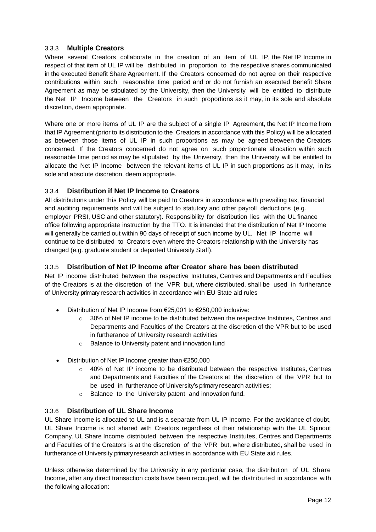#### <span id="page-14-0"></span>3.3.3 **Multiple Creators**

Where several Creators collaborate in the creation of an item of UL IP, the Net IP Income in respect of that item of UL IP will be distributed in proportion to the respective shares communicated in the executed Benefit Share Agreement. If the Creators concerned do not agree on their respective contributions within such reasonable time period and or do not furnish an executed Benefit Share Agreement as may be stipulated by the University, then the University will be entitled to distribute the Net IP Income between the Creators in such proportions as it may, in its sole and absolute discretion, deem appropriate.

Where one or more items of UL IP are the subject of a single IP Agreement, the Net IP Income from that IP Agreement (prior to its distribution to the Creators in accordance with this Policy) will be allocated as between those items of UL IP in such proportions as may be agreed between the Creators concerned. If the Creators concerned do not agree on such proportionate allocation within such reasonable time period as may be stipulated by the University, then the University will be entitled to allocate the Net IP Income between the relevant items of UL IP in such proportions as it may, in its sole and absolute discretion, deem appropriate.

#### <span id="page-14-1"></span>3.3.4 **Distribution if Net IP Income to Creators**

All distributions under this Policy will be paid to Creators in accordance with prevailing tax, financial and auditing requirements and will be subject to statutory and other payroll deductions (e.g. employer PRSI, USC and other statutory). Responsibility for distribution lies with the UL finance office following appropriate instruction by the TTO. It is intended that the distribution of Net IP Income will generally be carried out within 90 days of receipt of such income by UL. Net IP Income will continue to be distributed to Creators even where the Creators relationship with the University has changed (e.g. graduate student or departed University Staff).

#### <span id="page-14-2"></span>3.3.5 **Distribution of Net IP Income after Creator share has been distributed**

Net IP income distributed between the respective Institutes, Centres and Departments and Faculties of the Creators is at the discretion of the VPR but, where distributed, shall be used in furtherance of University primary research activities in accordance with EU State aid rules

- Distribution of Net IP Income from €25,001 to €250,000 inclusive:
	- o 30% of Net IP income to be distributed between the respective Institutes, Centres and Departments and Faculties of the Creators at the discretion of the VPR but to be used in furtherance of University research activities
	- o Balance to University patent and innovation fund
- Distribution of Net IP Income greater than €250,000
	- $\circ$  40% of Net IP income to be distributed between the respective Institutes, Centres and Departments and Faculties of the Creators at the discretion of the VPR but to be used in furtherance of University's primary research activities;
	- o Balance to the University patent and innovation fund.

#### <span id="page-14-3"></span>3.3.6 **Distribution of UL Share Income**

UL Share Income is allocated to UL and is a separate from UL IP Income. For the avoidance of doubt, UL Share Income is not shared with Creators regardless of their relationship with the UL Spinout Company. UL Share Income distributed between the respective Institutes, Centres and Departments and Faculties of the Creators is at the discretion of the VPR but, where distributed, shall be used in furtherance of University primary research activities in accordance with EU State aid rules.

Unless otherwise determined by the University in any particular case, the distribution of UL Share Income, after any direct transaction costs have been recouped, will be distributed in accordance with the following allocation: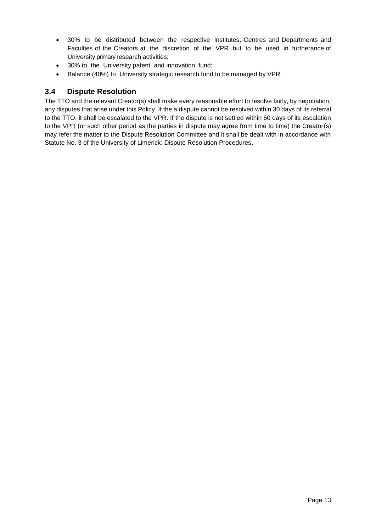- 30% to be distributed between the respective Institutes, Centres and Departments and Faculties of the Creators at the discretion of the VPR but to be used in furtherance of University primary research activities;
- 30% to the University patent and innovation fund;
- Balance (40%) to University strategic research fund to be managed by VPR.

#### <span id="page-15-0"></span>**3.4 Dispute Resolution**

The TTO and the relevant Creator(s) shall make every reasonable effort to resolve fairly, by negotiation, any disputes that arise under this Policy. If the a dispute cannot be resolved within 30 days of its referral to the TTO, it shall be escalated to the VPR. If the dispute is not settled within 60 days of its escalation to the VPR (or such other period as the parties in dispute may agree from time to time) the Creator(s) may refer the matter to the Dispute Resolution Committee and it shall be dealt with in accordance with Statute No. 3 of the University of Limerick: Dispute Resolution Procedures.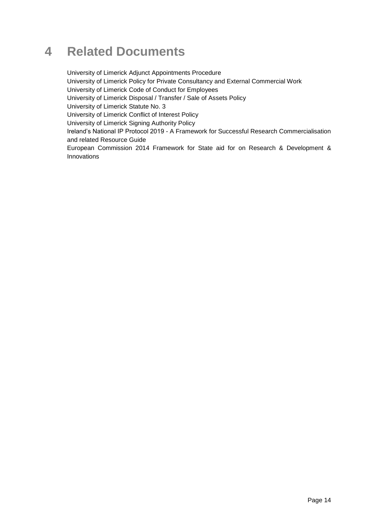### <span id="page-16-0"></span>**4 Related Documents**

University of Limerick Adjunct Appointments Procedure University of Limerick Policy for Private Consultancy and External Commercial Work University of Limerick Code of Conduct for Employees University of Limerick Disposal / Transfer / Sale of Assets Policy University of Limerick Statute No. 3 University of Limerick Conflict of Interest Policy University of Limerick Signing Authority Policy Ireland's National IP Protocol 2019 - A Framework for Successful Research Commercialisation and related Resource Guide European Commission 2014 Framework for State aid for on Research & Development & Innovations